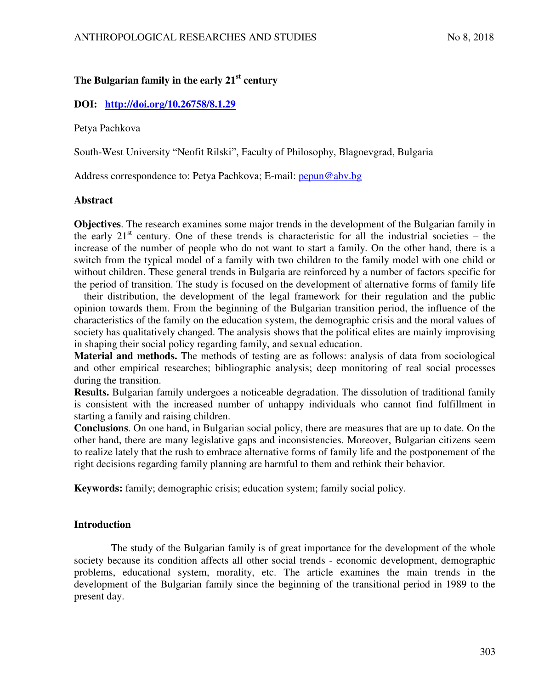# **The Bulgarian family in the early 21st century**

## **DOI: <http://doi.org/10.26758/8.1.29>**

Petya Pachkova

South-West University "Neofit Rilski", Faculty of Philosophy, Blagoevgrad, Bulgaria

Address correspondence to: Petya Pachkova; E-mail: [pepun@abv.bg](mailto:pepun@abv.bg)

### **Abstract**

**Objectives**. The research examines some major trends in the development of the Bulgarian family in the early  $21<sup>st</sup>$  century. One of these trends is characteristic for all the industrial societies – the increase of the number of people who do not want to start a family. On the other hand, there is a switch from the typical model of a family with two children to the family model with one child or without children. These general trends in Bulgaria are reinforced by a number of factors specific for the period of transition. The study is focused on the development of alternative forms of family life – their distribution, the development of the legal framework for their regulation and the public opinion towards them. From the beginning of the Bulgarian transition period, the influence of the characteristics of the family on the education system, the demographic crisis and the moral values of society has qualitatively changed. The analysis shows that the political elites are mainly improvising in shaping their social policy regarding family, and sexual education.

**Material and methods.** The methods of testing are as follows: analysis of data from sociological and other empirical researches; bibliographic analysis; deep monitoring of real social processes during the transition.

**Results.** Bulgarian family undergoes a noticeable degradation. The dissolution of traditional family is consistent with the increased number of unhappy individuals who cannot find fulfillment in starting a family and raising children.

**Conclusions**. On one hand, in Bulgarian social policy, there are measures that are up to date. On the other hand, there are many legislative gaps and inconsistencies. Moreover, Bulgarian citizens seem to realize lately that the rush to embrace alternative forms of family life and the postponement of the right decisions regarding family planning are harmful to them and rethink their behavior.

**Keywords:** family; demographic crisis; education system; family social policy.

## **Introduction**

The study of the Bulgarian family is of great importance for the development of the whole society because its condition affects all other social trends - economic development, demographic problems, educational system, morality, etc. The article examines the main trends in the development of the Bulgarian family since the beginning of the transitional period in 1989 to the present day.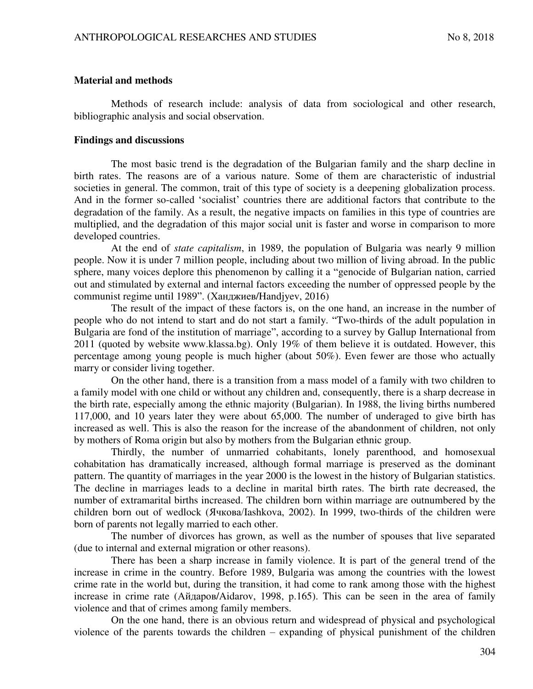#### **Material and methods**

Methods of research include: analysis of data from sociological and other research, bibliographic analysis and social observation.

#### **Findings and discussions**

The most basic trend is the degradation of the Bulgarian family and the sharp decline in birth rates. The reasons are of a various nature. Some of them are characteristic of industrial societies in general. The common, trait of this type of society is a deepening globalization process. And in the former so-called 'socialist' countries there are additional factors that contribute to the degradation of the family. As a result, the negative impacts on families in this type of countries are multiplied, and the degradation of this major social unit is faster and worse in comparison to more developed countries.

At the end of *state capitalism*, in 1989, the population of Bulgaria was nearly 9 million people. Now it is under 7 million people, including about two million of living abroad. In the public sphere, many voices deplore this phenomenon by calling it a "genocide of Bulgarian nation, carried out and stimulated by external and internal factors exceeding the number of oppressed people by the communist regime until 1989". (Ханджиев/Handjyev, 2016)

The result of the impact of these factors is, on the one hand, an increase in the number of people who do not intend to start and do not start a family. "Two-thirds of the adult population in Bulgaria are fond of the institution of marriage", according to a survey by Gallup International from 2011 (quoted by website www.klassa.bg). Only 19% of them believe it is outdated. However, this percentage among young people is much higher (about 50%). Even fewer are those who actually marry or consider living together.

On the other hand, there is a transition from a mass model of a family with two children to a family model with one child or without any children and, consequently, there is a sharp decrease in the birth rate, especially among the ethnic majority (Bulgarian). In 1988, the living births numbered 117,000, and 10 years later they were about 65,000. The number of underaged to give birth has increased as well. This is also the reason for the increase of the abandonment of children, not only by mothers of Roma origin but also by mothers from the Bulgarian ethnic group.

Thirdly, the number of unmarried cohabitants, lonely parenthood, and homosexual cohabitation has dramatically increased, although formal marriage is preserved as the dominant pattern. The quantity of marriages in the year 2000 is the lowest in the history of Bulgarian statistics. The decline in marriages leads to a decline in marital birth rates. The birth rate decreased, the number of extramarital births increased. The children born within marriage are outnumbered by the children born out of wedlock (Ячкова/Iashkova, 2002). In 1999, two-thirds of the children were born of parents not legally married to each other.

The number of divorces has grown, as well as the number of spouses that live separated (due to internal and external migration or other reasons).

There has been a sharp increase in family violence. It is part of the general trend of the increase in crime in the country. Before 1989, Bulgaria was among the countries with the lowest crime rate in the world but, during the transition, it had come to rank among those with the highest increase in crime rate (Aйдаров/Aidarov, 1998, p.165). This can be seen in the area of family violence and that of crimes among family members.

On the one hand, there is an obvious return and widespread of physical and psychological violence of the parents towards the children – expanding of physical punishment of the children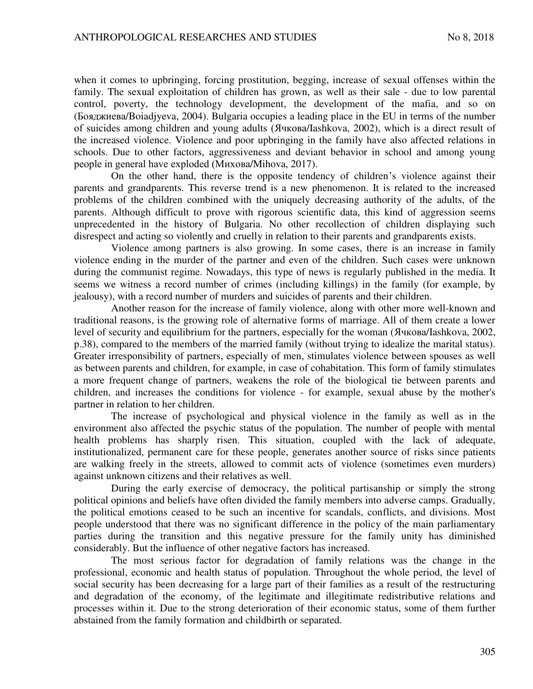when it comes to upbringing, forcing prostitution, begging, increase of sexual offenses within the family. The sexual exploitation of children has grown, as well as their sale - due to low parental control, poverty, the technology development, the development of the mafia, and so on (Бояджиева/Boiadjyeva, 2004). Bulgaria occupies a leading place in the EU in terms of the number of suicides among children and young adults (Ячкова/Iashkova, 2002), which is a direct result of the increased violence. Violence and poor upbringing in the family have also affected relations in schools. Due to other factors, aggressiveness and deviant behavior in school and among young people in general have exploded (Muxoba/Mihova, 2017).

On the other hand, there is the opposite tendency of children's violence against their parents and grandparents. This reverse trend is a new phenomenon. It is related to the increased problems of the children combined with the uniquely decreasing authority of the adults, of the parents. Although difficult to prove with rigorous scientific data, this kind of aggression seems unprecedented in the history of Bulgaria. No other recollection of children displaying such disrespect and acting so violently and cruelly in relation to their parents and grandparents exists.

Violence among partners is also growing. In some cases, there is an increase in family violence ending in the murder of the partner and even of the children. Such cases were unknown during the communist regime. Nowadays, this type of news is regularly published in the media. It seems we witness a record number of crimes (including killings) in the family (for example, by jealousy), with a record number of murders and suicides of parents and their children.

Another reason for the increase of family violence, along with other more well-known and traditional reasons, is the growing role of alternative forms of marriage. All of them create a lower level of security and equilibrium for the partners, especially for the woman ( $A$ чкова/Iashkova, 2002, p.38), compared to the members of the married family (without trying to idealize the marital status). Greater irresponsibility of partners, especially of men, stimulates violence between spouses as well as between parents and children, for example, in case of cohabitation. This form of family stimulates a more frequent change of partners, weakens the role of the biological tie between parents and children, and increases the conditions for violence - for example, sexual abuse by the mother's partner in relation to her children.

The increase of psychological and physical violence in the family as well as in the environment also affected the psychic status of the population. The number of people with mental health problems has sharply risen. This situation, coupled with the lack of adequate, institutionalized, permanent care for these people, generates another source of risks since patients are walking freely in the streets, allowed to commit acts of violence (sometimes even murders) against unknown citizens and their relatives as well.

During the early exercise of democracy, the political partisanship or simply the strong political opinions and beliefs have often divided the family members into adverse camps. Gradually, the political emotions ceased to be such an incentive for scandals, conflicts, and divisions. Most people understood that there was no significant difference in the policy of the main parliamentary parties during the transition and this negative pressure for the family unity has diminished considerably. But the influence of other negative factors has increased.

The most serious factor for degradation of family relations was the change in the professional, economic and health status of population. Throughout the whole period, the level of social security has been decreasing for a large part of their families as a result of the restructuring and degradation of the economy, of the legitimate and illegitimate redistributive relations and processes within it. Due to the strong deterioration of their economic status, some of them further abstained from the family formation and childbirth or separated.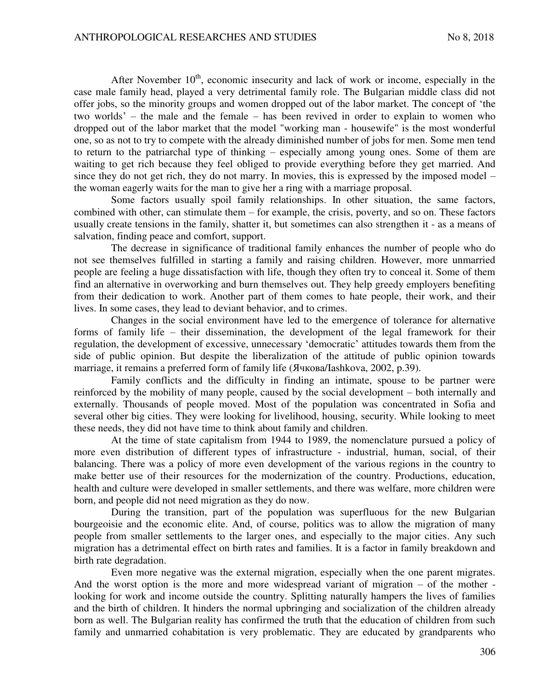After November  $10<sup>th</sup>$ , economic insecurity and lack of work or income, especially in the case male family head, played a very detrimental family role. The Bulgarian middle class did not offer jobs, so the minority groups and women dropped out of the labor market. The concept of 'the two worlds' – the male and the female – has been revived in order to explain to women who dropped out of the labor market that the model "working man - housewife" is the most wonderful one, so as not to try to compete with the already diminished number of jobs for men. Some men tend to return to the patriarchal type of thinking – especially among young ones. Some of them are waiting to get rich because they feel obliged to provide everything before they get married. And since they do not get rich, they do not marry. In movies, this is expressed by the imposed model – the woman eagerly waits for the man to give her a ring with a marriage proposal.

Some factors usually spoil family relationships. In other situation, the same factors, combined with other, can stimulate them – for example, the crisis, poverty, and so on. These factors usually create tensions in the family, shatter it, but sometimes can also strengthen it - as a means of salvation, finding peace and comfort, support.

The decrease in significance of traditional family enhances the number of people who do not see themselves fulfilled in starting a family and raising children. However, more unmarried people are feeling a huge dissatisfaction with life, though they often try to conceal it. Some of them find an alternative in overworking and burn themselves out. They help greedy employers benefiting from their dedication to work. Another part of them comes to hate people, their work, and their lives. In some cases, they lead to deviant behavior, and to crimes.

Changes in the social environment have led to the emergence of tolerance for alternative forms of family life – their dissemination, the development of the legal framework for their regulation, the development of excessive, unnecessary 'democratic' attitudes towards them from the side of public opinion. But despite the liberalization of the attitude of public opinion towards marriage, it remains a preferred form of family life (Ячкова/Iashkova, 2002, p.39).

Family conflicts and the difficulty in finding an intimate, spouse to be partner were reinforced by the mobility of many people, caused by the social development – both internally and externally. Thousands of people moved. Most of the population was concentrated in Sofia and several other big cities. They were looking for livelihood, housing, security. While looking to meet these needs, they did not have time to think about family and children.

At the time of state capitalism from 1944 to 1989, the nomenclature pursued a policy of more even distribution of different types of infrastructure - industrial, human, social, of their balancing. There was a policy of more even development of the various regions in the country to make better use of their resources for the modernization of the country. Productions, education, health and culture were developed in smaller settlements, and there was welfare, more children were born, and people did not need migration as they do now.

During the transition, part of the population was superfluous for the new Bulgarian bourgeoisie and the economic elite. And, of course, politics was to allow the migration of many people from smaller settlements to the larger ones, and especially to the major cities. Any such migration has a detrimental effect on birth rates and families. It is a factor in family breakdown and birth rate degradation.

Even more negative was the external migration, especially when the one parent migrates. And the worst option is the more and more widespread variant of migration – of the mother looking for work and income outside the country. Splitting naturally hampers the lives of families and the birth of children. It hinders the normal upbringing and socialization of the children already born as well. The Bulgarian reality has confirmed the truth that the education of children from such family and unmarried cohabitation is very problematic. They are educated by grandparents who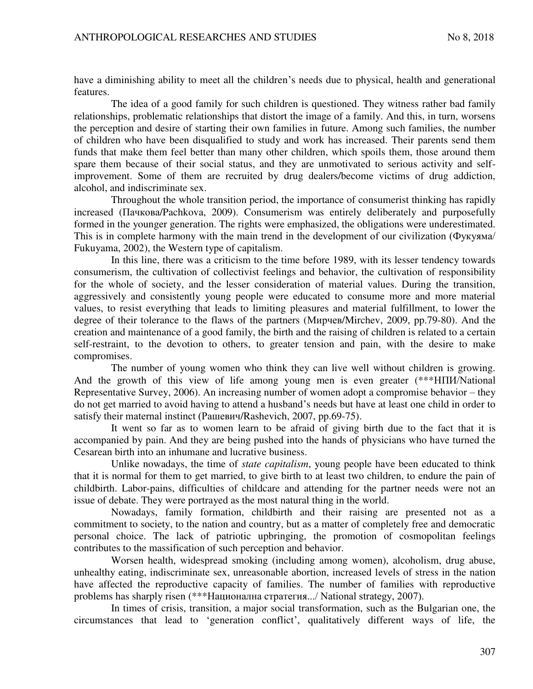have a diminishing ability to meet all the children's needs due to physical, health and generational features.

The idea of a good family for such children is questioned. They witness rather bad family relationships, problematic relationships that distort the image of a family. And this, in turn, worsens the perception and desire of starting their own families in future. Among such families, the number of children who have been disqualified to study and work has increased. Their parents send them funds that make them feel better than many other children, which spoils them, those around them spare them because of their social status, and they are unmotivated to serious activity and selfimprovement. Some of them are recruited by drug dealers/become victims of drug addiction, alcohol, and indiscriminate sex.

Throughout the whole transition period, the importance of consumerist thinking has rapidly increased (Пачкова/Pachkova, 2009). Consumerism was entirely deliberately and purposefully formed in the younger generation. The rights were emphasized, the obligations were underestimated. This is in complete harmony with the main trend in the development of our civilization ( $\Phi$ укуяма/ Fukuyama, 2002), the Western type of capitalism.

In this line, there was a criticism to the time before 1989, with its lesser tendency towards consumerism, the cultivation of collectivist feelings and behavior, the cultivation of responsibility for the whole of society, and the lesser consideration of material values. During the transition, aggressively and consistently young people were educated to consume more and more material values, to resist everything that leads to limiting pleasures and material fulfillment, to lower the degree of their tolerance to the flaws of the partners (Мирчев/Mirchev, 2009, pp.79-80). And the creation and maintenance of a good family, the birth and the raising of children is related to a certain self-restraint, to the devotion to others, to greater tension and pain, with the desire to make compromises.

The number of young women who think they can live well without children is growing. And the growth of this view of life among young men is even greater  $(***HHIM/National)$ Representative Survey, 2006). An increasing number of women adopt a compromise behavior – they do not get married to avoid having to attend a husband's needs but have at least one child in order to satisfy their maternal instinct (Рашевич/Rashevich, 2007, pp.69-75).

It went so far as to women learn to be afraid of giving birth due to the fact that it is accompanied by pain. And they are being pushed into the hands of physicians who have turned the Cesarean birth into an inhumane and lucrative business.

Unlike nowadays, the time of *state capitalism*, young people have been educated to think that it is normal for them to get married, to give birth to at least two children, to endure the pain of childbirth. Labor-pains, difficulties of childcare and attending for the partner needs were not an issue of debate. They were portrayed as the most natural thing in the world.

Nowadays, family formation, childbirth and their raising are presented not as a commitment to society, to the nation and country, but as a matter of completely free and democratic personal choice. The lack of patriotic upbringing, the promotion of cosmopolitan feelings contributes to the massification of such perception and behavior.

Worsen health, widespread smoking (including among women), alcoholism, drug abuse, unhealthy eating, indiscriminate sex, unreasonable abortion, increased levels of stress in the nation have affected the reproductive capacity of families. The number of families with reproductive problems has sharply risen (\*\*\*Национална стратегия.../ National strategy, 2007).

In times of crisis, transition, a major social transformation, such as the Bulgarian one, the circumstances that lead to 'generation conflict', qualitatively different ways of life, the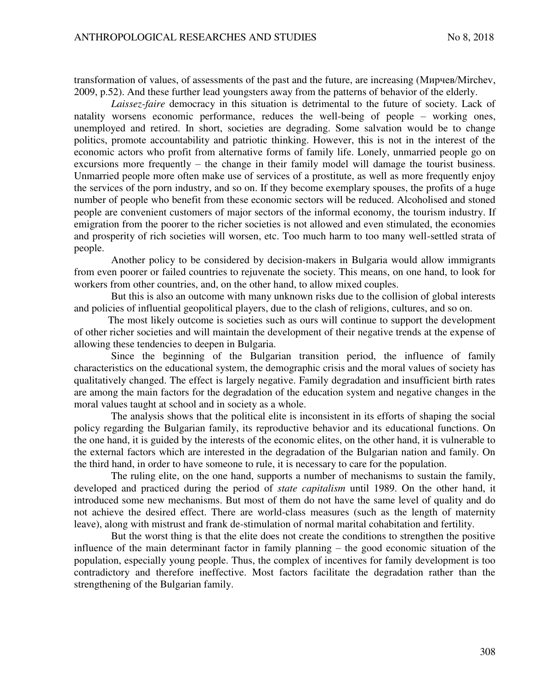transformation of values, of assessments of the past and the future, are increasing (Mupyers/Mirchev, 2009, p.52). And these further lead youngsters away from the patterns of behavior of the elderly.

*Laissez-faire* democracy in this situation is detrimental to the future of society. Lack of natality worsens economic performance, reduces the well-being of people – working ones, unemployed and retired. In short, societies are degrading. Some salvation would be to change politics, promote accountability and patriotic thinking. However, this is not in the interest of the economic actors who profit from alternative forms of family life. Lonely, unmarried people go on excursions more frequently – the change in their family model will damage the tourist business. Unmarried people more often make use of services of a prostitute, as well as more frequently enjoy the services of the porn industry, and so on. If they become exemplary spouses, the profits of a huge number of people who benefit from these economic sectors will be reduced. Alcoholised and stoned people are convenient customers of major sectors of the informal economy, the tourism industry. If emigration from the poorer to the richer societies is not allowed and even stimulated, the economies and prosperity of rich societies will worsen, etc. Too much harm to too many well-settled strata of people.

Another policy to be considered by decision-makers in Bulgaria would allow immigrants from even poorer or failed countries to rejuvenate the society. This means, on one hand, to look for workers from other countries, and, on the other hand, to allow mixed couples.

But this is also an outcome with many unknown risks due to the collision of global interests and policies of influential geopolitical players, due to the clash of religions, cultures, and so on.

 The most likely outcome is societies such as ours will continue to support the development of other richer societies and will maintain the development of their negative trends at the expense of allowing these tendencies to deepen in Bulgaria.

Since the beginning of the Bulgarian transition period, the influence of family characteristics on the educational system, the demographic crisis and the moral values of society has qualitatively changed. The effect is largely negative. Family degradation and insufficient birth rates are among the main factors for the degradation of the education system and negative changes in the moral values taught at school and in society as a whole.

The analysis shows that the political elite is inconsistent in its efforts of shaping the social policy regarding the Bulgarian family, its reproductive behavior and its educational functions. On the one hand, it is guided by the interests of the economic elites, on the other hand, it is vulnerable to the external factors which are interested in the degradation of the Bulgarian nation and family. On the third hand, in order to have someone to rule, it is necessary to care for the population.

The ruling elite, on the one hand, supports a number of mechanisms to sustain the family, developed and practiced during the period of *state capitalism* until 1989. On the other hand, it introduced some new mechanisms. But most of them do not have the same level of quality and do not achieve the desired effect. There are world-class measures (such as the length of maternity leave), along with mistrust and frank de-stimulation of normal marital cohabitation and fertility.

But the worst thing is that the elite does not create the conditions to strengthen the positive influence of the main determinant factor in family planning – the good economic situation of the population, especially young people. Thus, the complex of incentives for family development is too contradictory and therefore ineffective. Most factors facilitate the degradation rather than the strengthening of the Bulgarian family.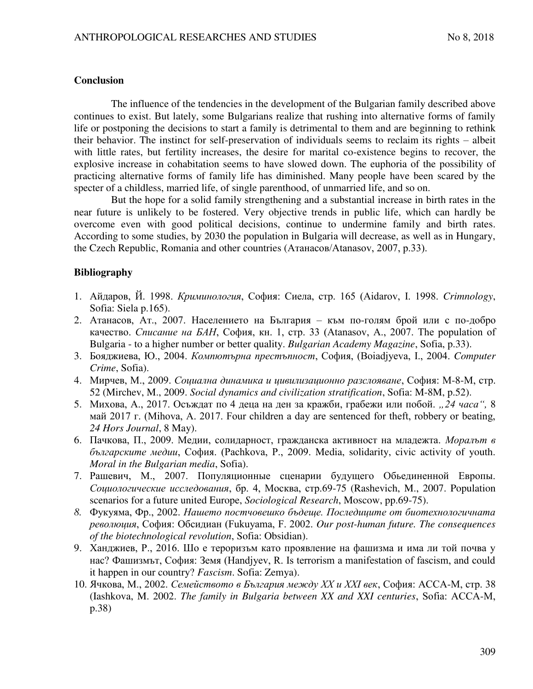### **Conclusion**

The influence of the tendencies in the development of the Bulgarian family described above continues to exist. But lately, some Bulgarians realize that rushing into alternative forms of family life or postponing the decisions to start a family is detrimental to them and are beginning to rethink their behavior. The instinct for self-preservation of individuals seems to reclaim its rights – albeit with little rates, but fertility increases, the desire for marital co-existence begins to recover, the explosive increase in cohabitation seems to have slowed down. The euphoria of the possibility of practicing alternative forms of family life has diminished. Many people have been scared by the specter of a childless, married life, of single parenthood, of unmarried life, and so on.

But the hope for a solid family strengthening and a substantial increase in birth rates in the near future is unlikely to be fostered. Very objective trends in public life, which can hardly be overcome even with good political decisions, continue to undermine family and birth rates. According to some studies, by 2030 the population in Bulgaria will decrease, as well as in Hungary, the Czech Republic, Romania and other countries (Атанасов/Atanasov, 2007, p.33).

## **Bibliography**

- 1. Айдаров, Й. 1998. *Криминология*, София: Сиела, стр. 165 (Aidarov, I. 1998. *Crimnology*, Sofia: Siela p.165).
- 2. Атанасов, Ат., 2007. Населението на България към по-голям брой или с по-добро качество. *Списание на БАН*, София, кн. 1, стр. 33 (Atanasov, A., 2007. The population of Bulgaria - to a higher number or better quality. *Bulgarian Academy Magazine*, Sofia, p.33).
- 3. Бояджиева, Ю., 2004. *Компютърна престъпност*, София, (Boiadjyeva, I., 2004. *Computer Crime*, Sofia).
- 4. Мирчев, М., 2009. *Социална динамика и цивилизационно разслояване*, София: М-8-М, стр. 52 (Mirchev, M., 2009. *Social dynamics and civilization stratification*, Sofia: M-8M, p.52).
- 5. Михова, А., 2017. Осъждат по 4 деца на ден за кражби, грабежи или побой. "24 часа", 8 Man 2017 r. (Mihova, A. 2017. Four children a day are sentenced for theft, robbery or beating, *24 Hors Journal*, 8 May).
- 6. Пачкова, П., 2009. Медии, солидарност, гражданска активност на младежта. Моралът в българските медии, София. (Pachkova, P., 2009. Media, solidarity, civic activity of youth. *Moral in the Bulgarian media*, Sofia).
- 7. Рашевич, М., 2007. Популяционные сценарии будущего Обьединенной Европы. Социологические исследования, бр. 4, Москва, стр.69-75 (Rashevich, M., 2007. Population scenarios for a future united Europe, *Sociological Research*, Moscow, pp.69-75).
- 8. Фукуяма, Фр., 2002. *Нашето постчовешко бъдеще. Последиците от биотехнологичната*  $p$ еволюция, София: Обсидиан (Fukuyama, F. 2002. *Our post-human future. The consequences of the biotechnological revolution*, Sofia: Obsidian).
- 9. Ханджиев, Р., 2016. Шо е тероризъм като проявление на фашизма и има ли той почва у нас? Фашизмът, София: Земя (Handjyev, R. Is terrorism a manifestation of fascism, and could it happen in our country? *Fascism*. Sofia: Zemya).
- 10. Ячкова, М., 2002. *Семейството в България между XX и XXI век*, София: АССА-М, стр. 38 (Iashkova, M. 2002. *The family in Bulgaria between XX and XXI centuries*, Sofia: ACCA-M, p.38)